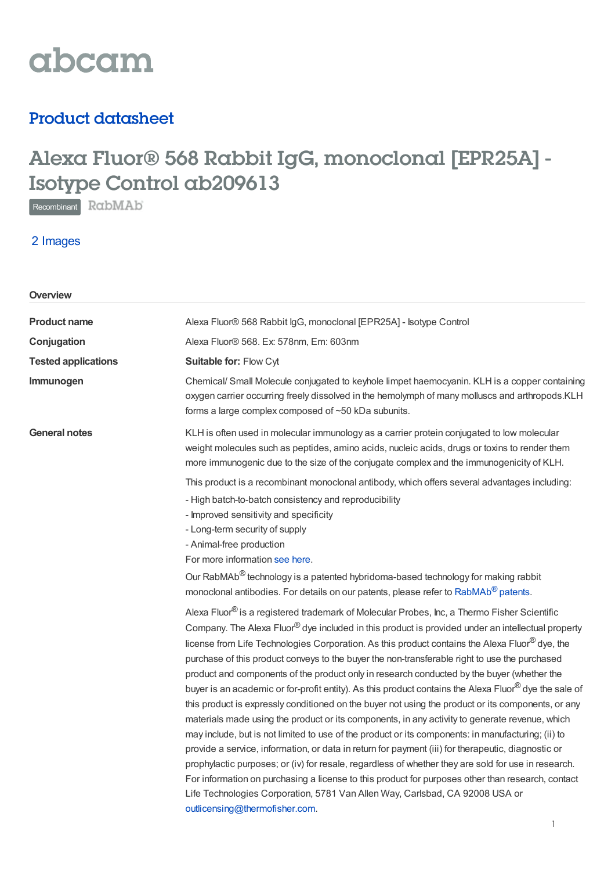

# Product datasheet

# Alexa Fluor® 568 Rabbit IgG, monoclonal [EPR25A] - Isotype Control ab209613

Recombinant RabMAb

2 Images

| Overview                   |                                                                                                                                                                                                                                                                                                                                                                                                                                                                                                                                                                                                                                                                                                                                                                                                                                                                                                                                                                                                                                                                                                                                                                                                                                                                                                                                                                          |  |  |
|----------------------------|--------------------------------------------------------------------------------------------------------------------------------------------------------------------------------------------------------------------------------------------------------------------------------------------------------------------------------------------------------------------------------------------------------------------------------------------------------------------------------------------------------------------------------------------------------------------------------------------------------------------------------------------------------------------------------------------------------------------------------------------------------------------------------------------------------------------------------------------------------------------------------------------------------------------------------------------------------------------------------------------------------------------------------------------------------------------------------------------------------------------------------------------------------------------------------------------------------------------------------------------------------------------------------------------------------------------------------------------------------------------------|--|--|
| <b>Product name</b>        | Alexa Fluor® 568 Rabbit IgG, monoclonal [EPR25A] - Isotype Control                                                                                                                                                                                                                                                                                                                                                                                                                                                                                                                                                                                                                                                                                                                                                                                                                                                                                                                                                                                                                                                                                                                                                                                                                                                                                                       |  |  |
| Conjugation                | Alexa Fluor® 568. Ex: 578nm, Em: 603nm                                                                                                                                                                                                                                                                                                                                                                                                                                                                                                                                                                                                                                                                                                                                                                                                                                                                                                                                                                                                                                                                                                                                                                                                                                                                                                                                   |  |  |
| <b>Tested applications</b> | Suitable for: Flow Cyt                                                                                                                                                                                                                                                                                                                                                                                                                                                                                                                                                                                                                                                                                                                                                                                                                                                                                                                                                                                                                                                                                                                                                                                                                                                                                                                                                   |  |  |
| Immunogen                  | Chemical/ Small Molecule conjugated to keyhole limpet haemocyanin. KLH is a copper containing<br>oxygen carrier occurring freely dissolved in the hemolymph of many molluscs and arthropods.KLH<br>forms a large complex composed of ~50 kDa subunits.                                                                                                                                                                                                                                                                                                                                                                                                                                                                                                                                                                                                                                                                                                                                                                                                                                                                                                                                                                                                                                                                                                                   |  |  |
| <b>General notes</b>       | KLH is often used in molecular immunology as a carrier protein conjugated to low molecular<br>weight molecules such as peptides, amino acids, nucleic acids, drugs or toxins to render them<br>more immunogenic due to the size of the conjugate complex and the immunogenicity of KLH.                                                                                                                                                                                                                                                                                                                                                                                                                                                                                                                                                                                                                                                                                                                                                                                                                                                                                                                                                                                                                                                                                  |  |  |
|                            | This product is a recombinant monoclonal antibody, which offers several advantages including:<br>- High batch-to-batch consistency and reproducibility<br>- Improved sensitivity and specificity<br>- Long-term security of supply<br>- Animal-free production<br>For more information see here.                                                                                                                                                                                                                                                                                                                                                                                                                                                                                                                                                                                                                                                                                                                                                                                                                                                                                                                                                                                                                                                                         |  |  |
|                            | Our RabMAb <sup>®</sup> technology is a patented hybridoma-based technology for making rabbit<br>monoclonal antibodies. For details on our patents, please refer to RabMAb® patents.                                                                                                                                                                                                                                                                                                                                                                                                                                                                                                                                                                                                                                                                                                                                                                                                                                                                                                                                                                                                                                                                                                                                                                                     |  |  |
|                            | Alexa Fluor <sup>®</sup> is a registered trademark of Molecular Probes, Inc, a Thermo Fisher Scientific<br>Company. The Alexa Fluor® dye included in this product is provided under an intellectual property<br>license from Life Technologies Corporation. As this product contains the Alexa Fluor® dye, the<br>purchase of this product conveys to the buyer the non-transferable right to use the purchased<br>product and components of the product only in research conducted by the buyer (whether the<br>buyer is an academic or for-profit entity). As this product contains the Alexa Fluor® dye the sale of<br>this product is expressly conditioned on the buyer not using the product or its components, or any<br>materials made using the product or its components, in any activity to generate revenue, which<br>may include, but is not limited to use of the product or its components: in manufacturing; (ii) to<br>provide a service, information, or data in return for payment (iii) for therapeutic, diagnostic or<br>prophylactic purposes; or (iv) for resale, regardless of whether they are sold for use in research.<br>For information on purchasing a license to this product for purposes other than research, contact<br>Life Technologies Corporation, 5781 Van Allen Way, Carlsbad, CA 92008 USA or<br>outlicensing@thermofisher.com. |  |  |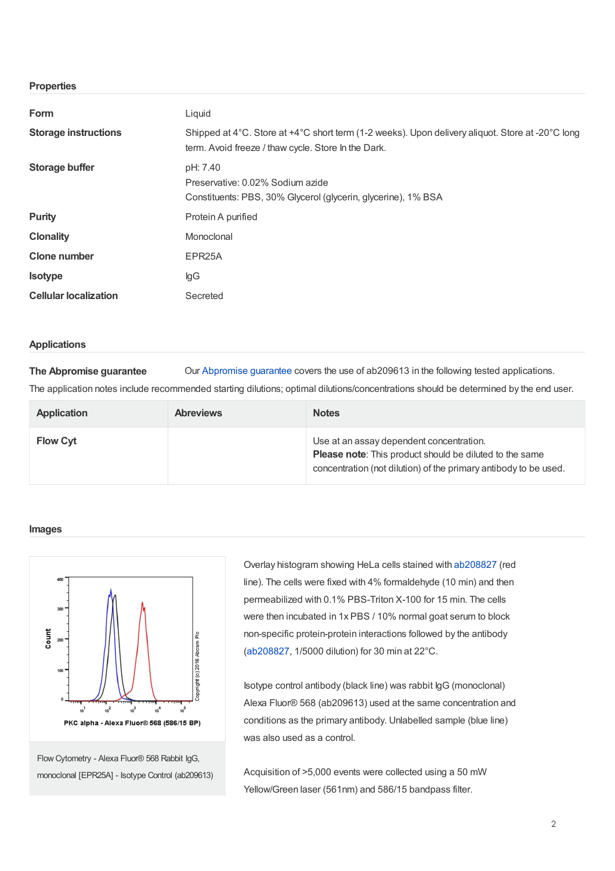# **Properties**

| Form                         | Liquid                                                                                                                                                  |  |  |
|------------------------------|---------------------------------------------------------------------------------------------------------------------------------------------------------|--|--|
| <b>Storage instructions</b>  | Shipped at 4°C. Store at +4°C short term (1-2 weeks). Upon delivery aliquot. Store at -20°C long<br>term. Avoid freeze / thaw cycle. Store In the Dark. |  |  |
| Storage buffer               | pH: 7.40<br>Preservative: 0.02% Sodium azide<br>Constituents: PBS, 30% Glycerol (glycerin, glycerine), 1% BSA                                           |  |  |
| <b>Purity</b>                | Protein A purified                                                                                                                                      |  |  |
| <b>Clonality</b>             | Monoclonal                                                                                                                                              |  |  |
| <b>Clone number</b>          | EPR <sub>25</sub> A                                                                                                                                     |  |  |
| <b>Isotype</b>               | lgG                                                                                                                                                     |  |  |
| <b>Cellular localization</b> | Secreted                                                                                                                                                |  |  |

#### **Applications**

**The Abpromise guarantee** Our [Abpromise](https://www.abcam.com/abpromise) guarantee covers the use of ab209613 in the following tested applications.

The application notes include recommended starting dilutions; optimal dilutions/concentrations should be determined by the end user.

| <b>Application</b> | <b>Abreviews</b> | <b>Notes</b>                                                                                                                                                                   |
|--------------------|------------------|--------------------------------------------------------------------------------------------------------------------------------------------------------------------------------|
| <b>Flow Cyt</b>    |                  | Use at an assay dependent concentration.<br><b>Please note:</b> This product should be diluted to the same<br>concentration (not dilution) of the primary antibody to be used. |

## **Images**



Flow Cytometry - Alexa Fluor® 568 Rabbit IgG, monoclonal [EPR25A] - Isotype Control (ab209613) Overlay histogram showing HeLa cells stained with [ab208827](https://www.abcam.com/ab208827.html) (red line). The cells were fixed with 4% formaldehyde (10 min) and then permeabilized with 0.1% PBS-Triton X-100 for 15 min. The cells were then incubated in 1x PBS / 10% normal goat serum to block non-specific protein-protein interactions followed by the antibody ([ab208827](https://www.abcam.com/ab208827.html), 1/5000 dilution) for 30 min at 22°C.

Isotype control antibody (black line) was rabbit IgG (monoclonal) Alexa Fluor® 568 (ab209613) used at the same concentration and conditions as the primary antibody. Unlabelled sample (blue line) was also used as a control.

Acquisition of >5,000 events were collected using a 50 mW Yellow/Green laser (561nm) and 586/15 bandpass filter.